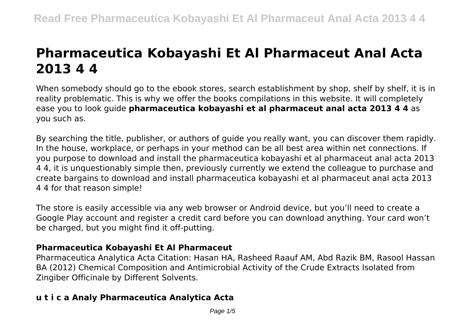# **Pharmaceutica Kobayashi Et Al Pharmaceut Anal Acta 2013 4 4**

When somebody should go to the ebook stores, search establishment by shop, shelf by shelf, it is in reality problematic. This is why we offer the books compilations in this website. It will completely ease you to look guide **pharmaceutica kobayashi et al pharmaceut anal acta 2013 4 4** as you such as.

By searching the title, publisher, or authors of guide you really want, you can discover them rapidly. In the house, workplace, or perhaps in your method can be all best area within net connections. If you purpose to download and install the pharmaceutica kobayashi et al pharmaceut anal acta 2013 4 4, it is unquestionably simple then, previously currently we extend the colleague to purchase and create bargains to download and install pharmaceutica kobayashi et al pharmaceut anal acta 2013 4 4 for that reason simple!

The store is easily accessible via any web browser or Android device, but you'll need to create a Google Play account and register a credit card before you can download anything. Your card won't be charged, but you might find it off-putting.

## **Pharmaceutica Kobayashi Et Al Pharmaceut**

Pharmaceutica Analytica Acta Citation: Hasan HA, Rasheed Raauf AM, Abd Razik BM, Rasool Hassan BA (2012) Chemical Composition and Antimicrobial Activity of the Crude Extracts Isolated from Zingiber Officinale by Different Solvents.

# **u t i c a Analy Pharmaceutica Analytica Acta**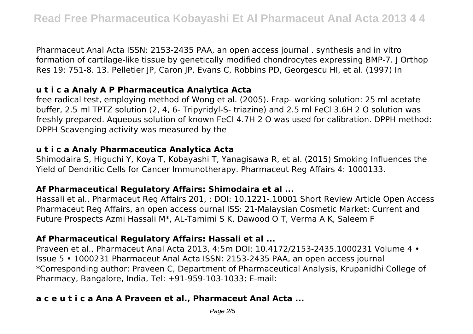Pharmaceut Anal Acta ISSN: 2153-2435 PAA, an open access journal . synthesis and in vitro formation of cartilage-like tissue by genetically modified chondrocytes expressing BMP-7. J Orthop Res 19: 751-8. 13. Pelletier JP, Caron JP, Evans C, Robbins PD, Georgescu HI, et al. (1997) In

## **u t i c a Analy A P Pharmaceutica Analytica Acta**

free radical test, employing method of Wong et al. (2005). Frap- working solution: 25 ml acetate buffer, 2.5 ml TPTZ solution (2, 4, 6- Tripyridyl-S- triazine) and 2.5 ml FeCl 3.6H 2 O solution was freshly prepared. Aqueous solution of known FeCl 4.7H 2 O was used for calibration. DPPH method: DPPH Scavenging activity was measured by the

## **u t i c a Analy Pharmaceutica Analytica Acta**

Shimodaira S, Higuchi Y, Koya T, Kobayashi T, Yanagisawa R, et al. (2015) Smoking Influences the Yield of Dendritic Cells for Cancer Immunotherapy. Pharmaceut Reg Affairs 4: 1000133.

## **Af Pharmaceutical Regulatory Affairs: Shimodaira et al ...**

Hassali et al., Pharmaceut Reg Affairs 201, : DOI: 10.1221-.10001 Short Review Article Open Access Pharmaceut Reg Affairs, an open access ournal ISS: 21-Malaysian Cosmetic Market: Current and Future Prospects Azmi Hassali M\*, AL-Tamimi S K, Dawood O T, Verma A K, Saleem F

# **Af Pharmaceutical Regulatory Affairs: Hassali et al ...**

Praveen et al., Pharmaceut Anal Acta 2013, 4:5m DOI: 10.4172/2153-2435.1000231 Volume 4 • Issue 5 • 1000231 Pharmaceut Anal Acta ISSN: 2153-2435 PAA, an open access journal \*Corresponding author: Praveen C, Department of Pharmaceutical Analysis, Krupanidhi College of Pharmacy, Bangalore, India, Tel: +91-959-103-1033; E-mail:

# **a c e u t i c a Ana A Praveen et al., Pharmaceut Anal Acta ...**

Page 2/5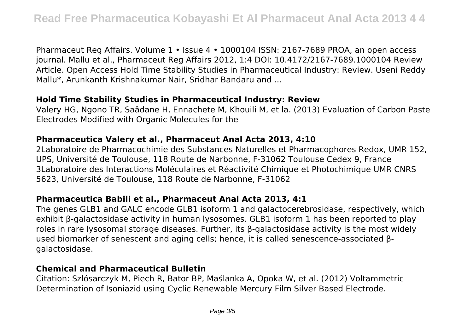Pharmaceut Reg Affairs. Volume 1 • Issue 4 • 1000104 ISSN: 2167-7689 PROA, an open access journal. Mallu et al., Pharmaceut Reg Affairs 2012, 1:4 DOI: 10.4172/2167-7689.1000104 Review Article. Open Access Hold Time Stability Studies in Pharmaceutical Industry: Review. Useni Reddy Mallu\*, Arunkanth Krishnakumar Nair, Sridhar Bandaru and ...

#### **Hold Time Stability Studies in Pharmaceutical Industry: Review**

Valery HG, Ngono TR, Saâdane H, Ennachete M, Khouili M, et la. (2013) Evaluation of Carbon Paste Electrodes Modified with Organic Molecules for the

#### **Pharmaceutica Valery et al., Pharmaceut Anal Acta 2013, 4:10**

2Laboratoire de Pharmacochimie des Substances Naturelles et Pharmacophores Redox, UMR 152, UPS, Université de Toulouse, 118 Route de Narbonne, F-31062 Toulouse Cedex 9, France 3Laboratoire des Interactions Moléculaires et Réactivité Chimique et Photochimique UMR CNRS 5623, Université de Toulouse, 118 Route de Narbonne, F-31062

## **Pharmaceutica Babili et al., Pharmaceut Anal Acta 2013, 4:1**

The genes GLB1 and GALC encode GLB1 isoform 1 and galactocerebrosidase, respectively, which exhibit β-galactosidase activity in human lysosomes. GLB1 isoform 1 has been reported to play roles in rare lysosomal storage diseases. Further, its β-galactosidase activity is the most widely used biomarker of senescent and aging cells; hence, it is called senescence-associated βgalactosidase.

#### **Chemical and Pharmaceutical Bulletin**

Citation: Szlósarczyk M, Piech R, Bator BP, Maślanka A, Opoka W, et al. (2012) Voltammetric Determination of Isoniazid using Cyclic Renewable Mercury Film Silver Based Electrode.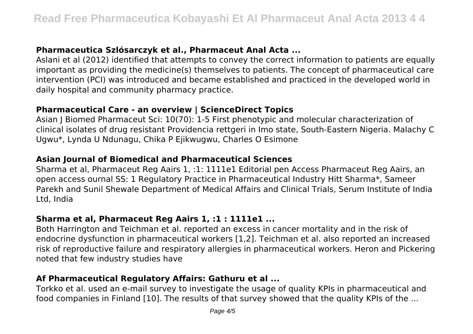# **Pharmaceutica Szlósarczyk et al., Pharmaceut Anal Acta ...**

Aslani et al (2012) identified that attempts to convey the correct information to patients are equally important as providing the medicine(s) themselves to patients. The concept of pharmaceutical care intervention (PCI) was introduced and became established and practiced in the developed world in daily hospital and community pharmacy practice.

## **Pharmaceutical Care - an overview | ScienceDirect Topics**

Asian J Biomed Pharmaceut Sci: 10(70): 1-5 First phenotypic and molecular characterization of clinical isolates of drug resistant Providencia rettgeri in Imo state, South-Eastern Nigeria. Malachy C Ugwu\*, Lynda U Ndunagu, Chika P Ejikwugwu, Charles O Esimone

# **Asian Journal of Biomedical and Pharmaceutical Sciences**

Sharma et al, Pharmaceut Reg Aairs 1, :1: 1111e1 Editorial pen Access Pharmaceut Reg Aairs, an open access ournal SS: 1 Regulatory Practice in Pharmaceutical Industry Hitt Sharma\*, Sameer Parekh and Sunil Shewale Department of Medical Affairs and Clinical Trials, Serum Institute of India Ltd, India

# **Sharma et al, Pharmaceut Reg Aairs 1, :1 : 1111e1 ...**

Both Harrington and Teichman et al. reported an excess in cancer mortality and in the risk of endocrine dysfunction in pharmaceutical workers [1,2]. Teichman et al. also reported an increased risk of reproductive failure and respiratory allergies in pharmaceutical workers. Heron and Pickering noted that few industry studies have

# **Af Pharmaceutical Regulatory Affairs: Gathuru et al ...**

Torkko et al. used an e-mail survey to investigate the usage of quality KPIs in pharmaceutical and food companies in Finland [10]. The results of that survey showed that the quality KPIs of the ...